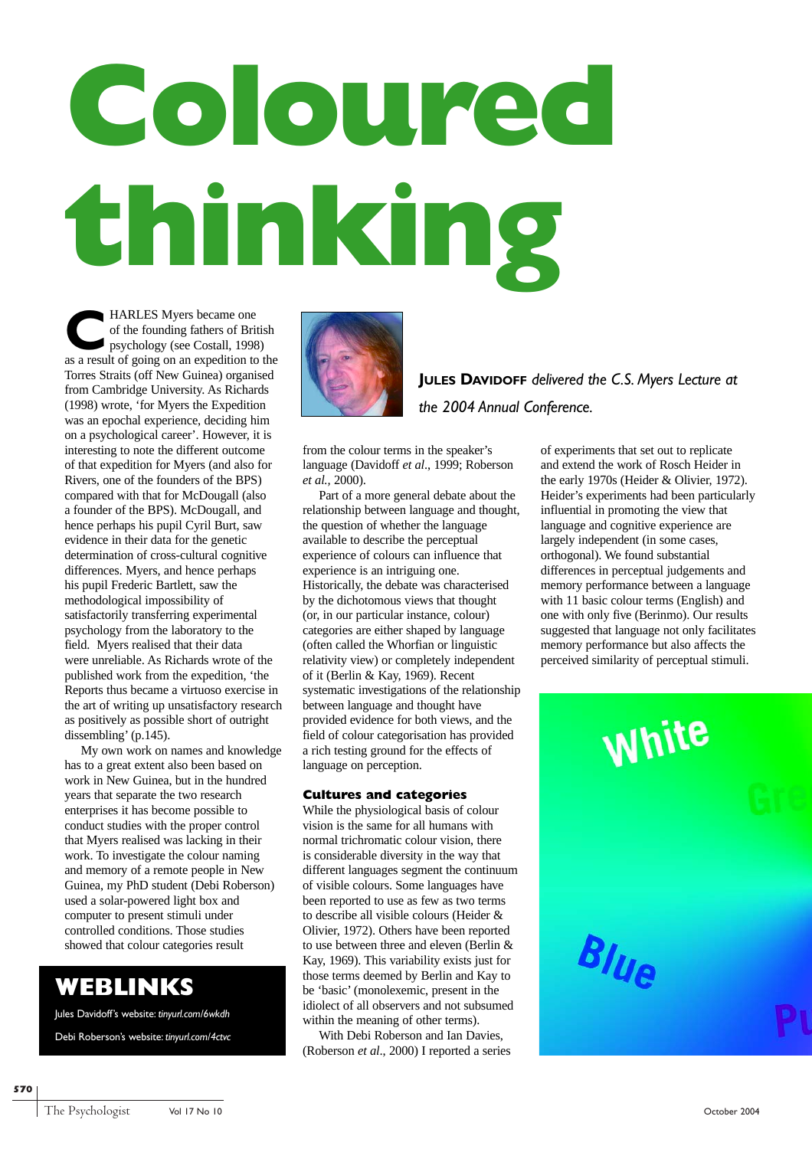# **Coloured thinking**

**COMPANDES Myers became one**<br>of the founding fathers of Brit<br>psychology (see Costall, 1998<br>as a result of going on an expedition to of the founding fathers of British psychology (see Costall, 1998) as a result of going on an expedition to the Torres Straits (off New Guinea) organised from Cambridge University. As Richards (1998) wrote, 'for Myers the Expedition was an epochal experience, deciding him on a psychological career'. However, it is interesting to note the different outcome of that expedition for Myers (and also for Rivers, one of the founders of the BPS) compared with that for McDougall (also a founder of the BPS). McDougall, and hence perhaps his pupil Cyril Burt, saw evidence in their data for the genetic determination of cross-cultural cognitive differences. Myers, and hence perhaps his pupil Frederic Bartlett, saw the methodological impossibility of satisfactorily transferring experimental psychology from the laboratory to the field. Myers realised that their data were unreliable. As Richards wrote of the published work from the expedition, 'the Reports thus became a virtuoso exercise in the art of writing up unsatisfactory research as positively as possible short of outright dissembling' (p.145).

My own work on names and knowledge has to a great extent also been based on work in New Guinea, but in the hundred years that separate the two research enterprises it has become possible to conduct studies with the proper control that Myers realised was lacking in their work. To investigate the colour naming and memory of a remote people in New Guinea, my PhD student (Debi Roberson) used a solar-powered light box and computer to present stimuli under controlled conditions. Those studies showed that colour categories result

# **WEBLINKS**

Jules Davidoff's website: *tinyurl.com/6wkdh*

Debi Roberson's website: *tinyurl.com/4ctvc*



**JULES DAVIDOFF** *delivered the C.S. Myers Lecture at the 2004 Annual Conference.*

from the colour terms in the speaker's language (Davidoff *et al*., 1999; Roberson *et al.,* 2000).

Part of a more general debate about the relationship between language and thought, the question of whether the language available to describe the perceptual experience of colours can influence that experience is an intriguing one. Historically, the debate was characterised by the dichotomous views that thought (or, in our particular instance, colour) categories are either shaped by language (often called the Whorfian or linguistic relativity view) or completely independent of it (Berlin & Kay, 1969). Recent systematic investigations of the relationship between language and thought have provided evidence for both views, and the field of colour categorisation has provided a rich testing ground for the effects of language on perception.

# **Cultures and categories**

While the physiological basis of colour vision is the same for all humans with normal trichromatic colour vision, there is considerable diversity in the way that different languages segment the continuum of visible colours. Some languages have been reported to use as few as two terms to describe all visible colours (Heider & Olivier, 1972). Others have been reported to use between three and eleven (Berlin & Kay, 1969). This variability exists just for those terms deemed by Berlin and Kay to be 'basic' (monolexemic, present in the idiolect of all observers and not subsumed within the meaning of other terms).

With Debi Roberson and Ian Davies, (Roberson *et al*., 2000) I reported a series

of experiments that set out to replicate and extend the work of Rosch Heider in the early 1970s (Heider & Olivier, 1972). Heider's experiments had been particularly influential in promoting the view that language and cognitive experience are largely independent (in some cases, orthogonal). We found substantial differences in perceptual judgements and memory performance between a language with 11 basic colour terms (English) and one with only five (Berinmo). Our results suggested that language not only facilitates memory performance but also affects the perceived similarity of perceptual stimuli.



**570**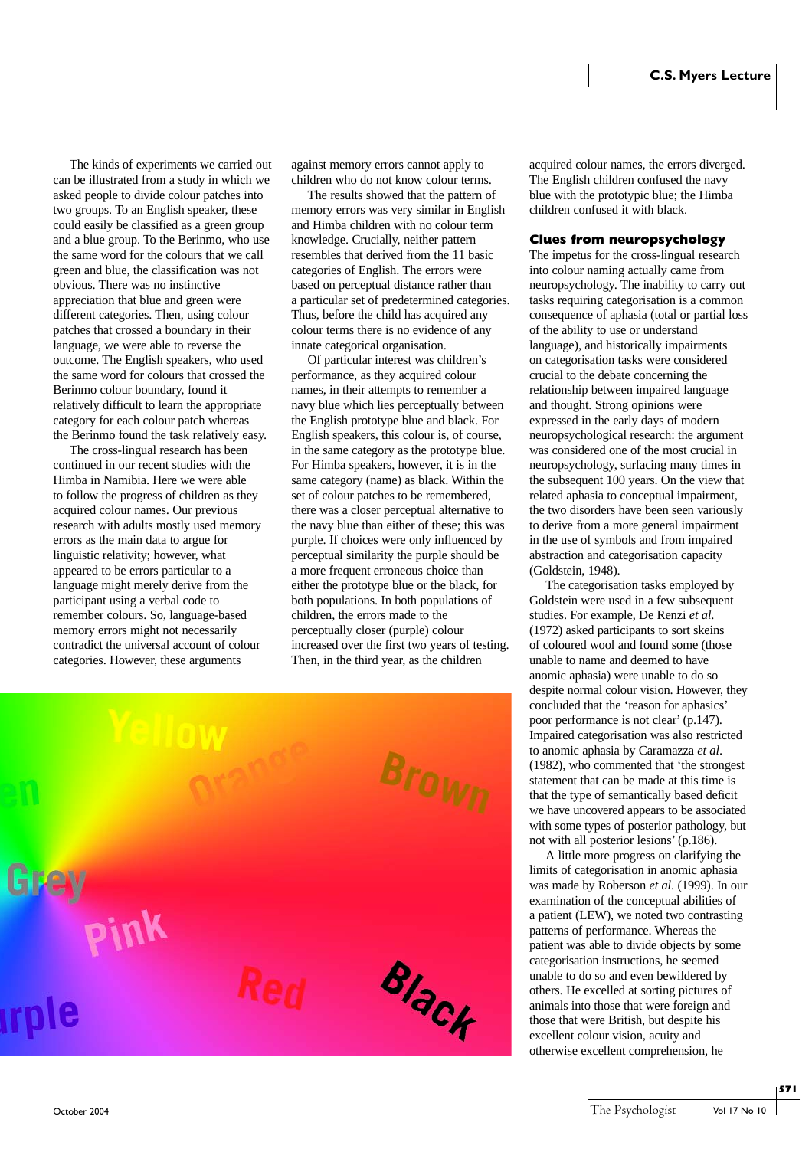The kinds of experiments we carried out can be illustrated from a study in which we asked people to divide colour patches into two groups. To an English speaker, these could easily be classified as a green group and a blue group. To the Berinmo, who use the same word for the colours that we call green and blue, the classification was not obvious. There was no instinctive appreciation that blue and green were different categories. Then, using colour patches that crossed a boundary in their language, we were able to reverse the outcome. The English speakers, who used the same word for colours that crossed the Berinmo colour boundary, found it relatively difficult to learn the appropriate category for each colour patch whereas the Berinmo found the task relatively easy.

The cross-lingual research has been continued in our recent studies with the Himba in Namibia. Here we were able to follow the progress of children as they acquired colour names. Our previous research with adults mostly used memory errors as the main data to argue for linguistic relativity; however, what appeared to be errors particular to a language might merely derive from the participant using a verbal code to remember colours. So, language-based memory errors might not necessarily contradict the universal account of colour categories. However, these arguments

against memory errors cannot apply to children who do not know colour terms.

The results showed that the pattern of memory errors was very similar in English and Himba children with no colour term knowledge. Crucially, neither pattern resembles that derived from the 11 basic categories of English. The errors were based on perceptual distance rather than a particular set of predetermined categories. Thus, before the child has acquired any colour terms there is no evidence of any innate categorical organisation.

Of particular interest was children's performance, as they acquired colour names, in their attempts to remember a navy blue which lies perceptually between the English prototype blue and black. For English speakers, this colour is, of course, in the same category as the prototype blue. For Himba speakers, however, it is in the same category (name) as black. Within the set of colour patches to be remembered, there was a closer perceptual alternative to the navy blue than either of these; this was purple. If choices were only influenced by perceptual similarity the purple should be a more frequent erroneous choice than either the prototype blue or the black, for both populations. In both populations of children, the errors made to the perceptually closer (purple) colour increased over the first two years of testing. Then, in the third year, as the children



acquired colour names, the errors diverged. The English children confused the navy blue with the prototypic blue; the Himba children confused it with black.

### **Clues from neuropsychology**

The impetus for the cross-lingual research into colour naming actually came from neuropsychology. The inability to carry out tasks requiring categorisation is a common consequence of aphasia (total or partial loss of the ability to use or understand language), and historically impairments on categorisation tasks were considered crucial to the debate concerning the relationship between impaired language and thought. Strong opinions were expressed in the early days of modern neuropsychological research: the argument was considered one of the most crucial in neuropsychology, surfacing many times in the subsequent 100 years. On the view that related aphasia to conceptual impairment, the two disorders have been seen variously to derive from a more general impairment in the use of symbols and from impaired abstraction and categorisation capacity (Goldstein, 1948).

The categorisation tasks employed by Goldstein were used in a few subsequent studies. For example, De Renzi *et al*. (1972) asked participants to sort skeins of coloured wool and found some (those unable to name and deemed to have anomic aphasia) were unable to do so despite normal colour vision. However, they concluded that the 'reason for aphasics' poor performance is not clear' (p.147). Impaired categorisation was also restricted to anomic aphasia by Caramazza *et al*. (1982), who commented that 'the strongest statement that can be made at this time is that the type of semantically based deficit we have uncovered appears to be associated with some types of posterior pathology, but not with all posterior lesions' (p.186).

A little more progress on clarifying the limits of categorisation in anomic aphasia was made by Roberson *et al*. (1999). In our examination of the conceptual abilities of a patient (LEW), we noted two contrasting patterns of performance. Whereas the patient was able to divide objects by some categorisation instructions, he seemed unable to do so and even bewildered by others. He excelled at sorting pictures of animals into those that were foreign and those that were British, but despite his excellent colour vision, acuity and otherwise excellent comprehension, he